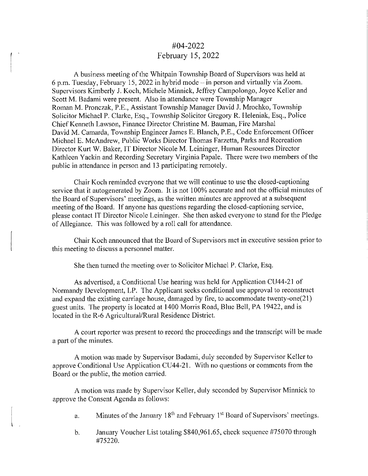## #04-2022 February 15, 2022

A business meeting of the Whitpain Township Board of Supervisors was held at 6 p.m. Tuesday, February 15, 2022 in hybrid mode  $-$  in person and virtually via Zoom. Supervisors Kimberly J. Koch, Michele Minnick, Jeffrey Campolongo, Joyce Keller and Scott M. Badami were present. Also in attendance were Township Manager Roman M. Pronczak, P.E., Assistant Township Manager David J. Mrochko, Township Solicitor Michael P. Clarke, Esq., Township Solicitor Gregory R. Heleniak, Esq., Police Chief Kenneth Lawson, Finance Director Christine M. Bauman, Fire Marshal David M. Camarda, Township Engineer James E. Blanch, P.E., Code Enforcement Officer Michael E. McAndrew, Public Works Director Thomas Farzetta, Parks and Recreation Director Kurt W. Baker, IT Director Nicole M. Leininger, Human Resources Director Kathleen Yackin and Recording Secretary Virginia Papale. There were two members of the public in attendance in person and 13 participating remotely.

Chair Koch reminded everyone that we will continue to use the closed-captioning service that it autogenerated by Zoom. It is not 100% accurate and not the official minutes of the Board of Supervisors' meetings, as the written minutes are approved at a subsequent meeting of the Board. If anyone has questions regarding the closed-captioning service, please contact IT Director Nicole Leininger. She then asked everyone to stand for the Pledge of Allegiance. This was followed by a roll call for attendance.

Chair Koch announced that the Board of Supervisors met in executive session prior to this meeting to discuss a personnel matter.

She then turned the meeting over to Solicitor Michael P. Clarke, Esq.

As advertised, a Conditional Use hearing was held for Application CU44-21 of Normandy Development, LP. The Applicant seeks conditional use approval to reconstruct and expand the existing carriage house, damaged by fire, to accommodate twenty-one(21) guest units. The property is located at I 400 Morris Road, Blue Bell, PA 19422, and is located in the R-6 Agricultural/Rural Residence District.

A court reporter was present to record the proceedings and the transcript will be made a part of the minutes.

A motion was made by Supervisor Badami, duly seconded by Supervisor Keller to approve Conditional Use Application CU44-2 l. With no questions or comments from the Board or the public, the motion carried.

A motion was made by Supervisor Keller, duly seconded by Supervisor Minnick to approve the Consent Agenda as follows:

- a. Minutes of the January  $18<sup>th</sup>$  and February  $1<sup>st</sup>$  Board of Supervisors' meetings.
- b. January Voucher List totaling \$840,961.65, check sequence #75070 through #75220.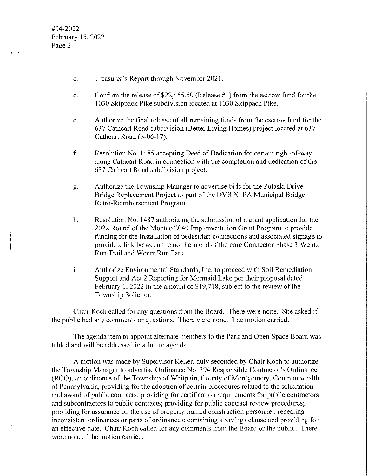#04-2022 February 15, 2022 Page 2

- c. Treasurer's Report through November 2021.
- d. Confirm the release of\$22,455.50 (Release #1) from the escrow fund for the I 030 Skippack Pike subdivision located at I 030 Skippack Pike.
- e. Authorize the final release of all remaining funds from the escrow fund for the 637 Cathcart Road subdivision (Better Living Homes) project located at 637 Cathcart Road (S-06-17).
- f. Resolution No. 1485 accepting Deed of Dedication for certain right-of-way along Cathcart Road in connection with the completion and dedication of the 637 Cathcart Road subdivision project.
- g. Authorize the Township Manager to advertise bids for the Pulaski Drive Bridge Replacement Project as part of the DVRPC PA Municipal Bridge Retro-Reimbursement Program.
- h. Resolution No. 1487 authorizing the submission of a grant application for the 2022 Round of the Manteo 2040 Implementation Grant Program to provide funding for the installation of pedestrian connections and associated signage to provide a link between the northern end of the core Connector Phase 3 Wentz Run Trail and Wentz Run Park.
- 1. Authorize Environmental Standards, Inc. to proceed with Soil Remediation Support and Act 2 Reporting for Mermaid Lake per their proposal dated February 1, 2022 in the amount of \$19,718, subject to the review of the Township Solicitor.

Chair Koch called for any questions from the Board. There were none. She asked if the public had any comments or questions. There were none. The motion carried.

The agenda item to appoint alternate members to the Park and Open Space Board was tabled and will be addressed in a future agenda.

A motion was made by Supervisor Keller, duly seconded by Chair Koch to authorize the Township Manager to advertise Ordinance No. 394 Responsible Contractor's Ordinance (RCO), an ordinance of the Township of Whitpain, County of Montgomery, Commonwealth of Pennsylvania, providing for the adoption of certain procedures related to the solicitation and award of public contracts; providing for certification requirements for public contractors and subcontractors to public contracts; providing for public contract review procedures; providing for assurance on the use of properly trained construction personnel; repealing inconsistent ordinances or parts of ordinances; containing a savings clause and providing for an effective date. Chair Koch called for any comments from the Board or the public. There were none. The motion carried.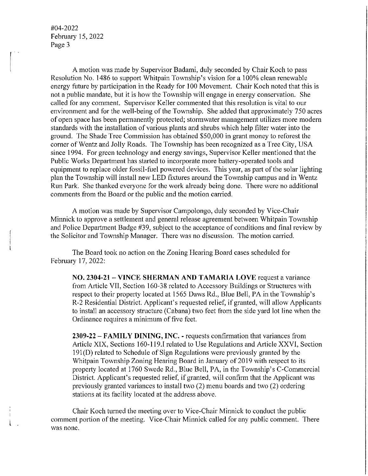#04-2022 February 15, 2022 Page 3

l .

A motion was made by Supervisor Badami, duly seconded by Chair Koch to pass Resolution No. 1486 to support Whitpain Township's vision for a 100% clean renewable energy future by participation in the Ready for 100 Movement. Chair Koch noted that this is not a public mandate, but it is how the Township will engage in energy conservation. She called for any comment. Supervisor Keller commented that this resolution is vital to our environment and for the well-being of the Township. She added that approximately 750 acres of open space has been permanently protected; storm water management utilizes more modern standards with the installation of various plants and shrubs which help filter water into the ground. The Shade Tree Commission has obtained \$50,000 in grant money to reforest the corner of Wentz and Jolly Roads. The Township has been recognized as a Tree City, USA since 1994. For green technology and energy savings, Supervisor Keller mentioned that the Public Works Department has started to incorporate more battery-operated tools and equipment to replace older fossil-fuel powered devices. This year, as part of the solar lighting plan the Township will install new LED fixtures around the Township campus and in Wentz Run Park. She thanked everyone for the work already being done. There were no additional comments from the Board or the public and the motion carried.

A motion was made by Supervisor Campolongo, duly seconded by Vice-Chair Minnick to approve a settlement and general release agreement between Whitpain Township and Police Department Badge #39, subject to the acceptance of conditions and final review by the Solicitor and Township Manager. There was no discussion. The motion carried.

The Board took no action on the Zoning Hearing Board cases scheduled for February 17, 2022:

**NO. 2304-21- VINCE SHERMAN AND TAMARIA LOVE** request a variance from Article VII, Section 160-38 related to Accessory Buildings or Structures with respect to their property located at 1565 Daws Rd., Blue Bell, PA in the Township's R-2 Residential District. Applicant's requested relief, if granted, will allow Applicants to install an accessory structure (Cabana) two feet from the side yard lot line when the Ordinance requires a minimum of five feet.

**2309-22 - FAMILY DINING, INC.** - requests confirmation that variances from Article XIX, Sections 160-119.1 related to Use Regulations and Article XXVI, Section 191(D) related to Schedule of Sign Regulations were previously granted by the Whitpain Township Zoning Hearing Board in January of 2019 with respect to its property located at 1760 Swede Rd., Blue Bell, PA, in the Township's C-Commercial District. Applicant's requested relief, if granted, will confirm that the Applicant was previously granted variances to install two (2) menu boards and two (2) ordering stations at its facility located at the address above.

Chair Koch turned the meeting over to Vice-Chair Minnick to conduct the public comment portion of the meeting. Vice-Chair Minnick called for any public comment. There was none.